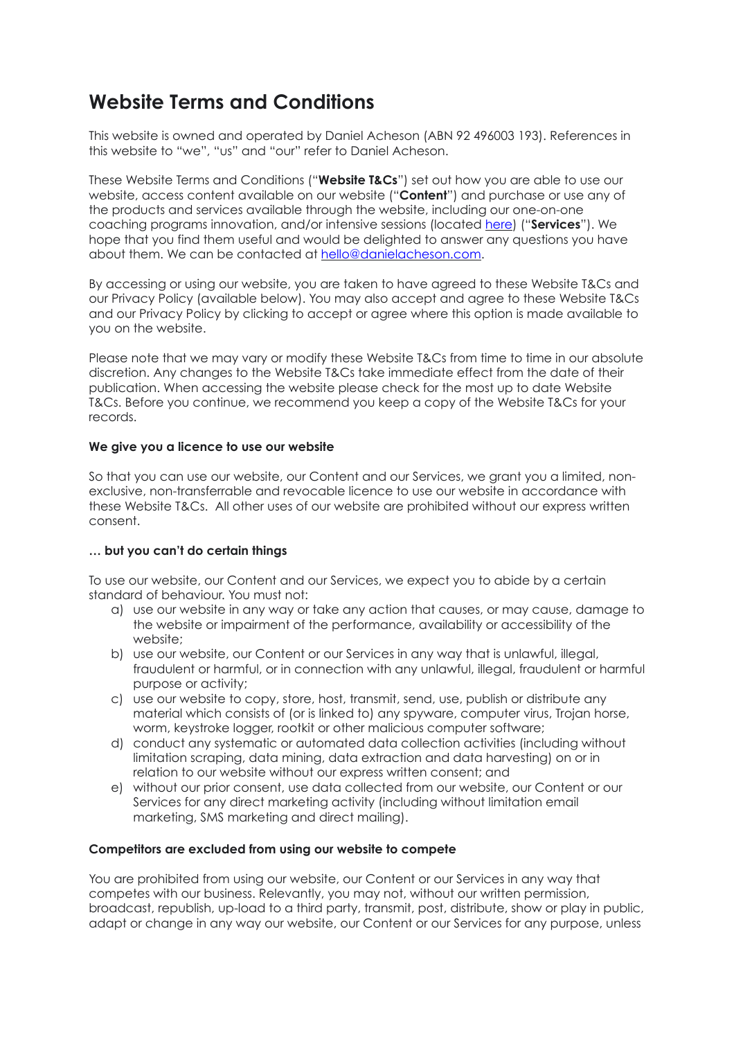# **Website Terms and Conditions**

This website is owned and operated by Daniel Acheson (ABN 92 496003 193). References in this website to "we", "us" and "our" refer to Daniel Acheson.

These Website Terms and Conditions ("**Website T&Cs**") set out how you are able to use our website, access content available on our website ("**Content**") and purchase or use any of the products and services available through the website, including our one-on-one coaching programs innovation, and/or intensive sessions (located [here](https://www.danielacheson.com/book-now)) ("**Services**"). We hope that you find them useful and would be delighted to answer any questions you have about them. We can be contacted at [hello@danielacheson.com.](mailto:hello@danielacheson.com)

By accessing or using our website, you are taken to have agreed to these Website T&Cs and our Privacy Policy (available below). You may also accept and agree to these Website T&Cs and our Privacy Policy by clicking to accept or agree where this option is made available to you on the website.

Please note that we may vary or modify these Website T&Cs from time to time in our absolute discretion. Any changes to the Website T&Cs take immediate effect from the date of their publication. When accessing the website please check for the most up to date Website T&Cs. Before you continue, we recommend you keep a copy of the Website T&Cs for your records.

# **We give you a licence to use our website**

So that you can use our website, our Content and our Services, we grant you a limited, nonexclusive, non-transferrable and revocable licence to use our website in accordance with these Website T&Cs. All other uses of our website are prohibited without our express written consent.

# **… but you can't do certain things**

To use our website, our Content and our Services, we expect you to abide by a certain standard of behaviour. You must not:

- a) use our website in any way or take any action that causes, or may cause, damage to the website or impairment of the performance, availability or accessibility of the website;
- b) use our website, our Content or our Services in any way that is unlawful, illegal, fraudulent or harmful, or in connection with any unlawful, illegal, fraudulent or harmful purpose or activity;
- c) use our website to copy, store, host, transmit, send, use, publish or distribute any material which consists of (or is linked to) any spyware, computer virus, Trojan horse, worm, keystroke logger, rootkit or other malicious computer software;
- d) conduct any systematic or automated data collection activities (including without limitation scraping, data mining, data extraction and data harvesting) on or in relation to our website without our express written consent; and
- e) without our prior consent, use data collected from our website, our Content or our Services for any direct marketing activity (including without limitation email marketing, SMS marketing and direct mailing).

#### **Competitors are excluded from using our website to compete**

You are prohibited from using our website, our Content or our Services in any way that competes with our business. Relevantly, you may not, without our written permission, broadcast, republish, up-load to a third party, transmit, post, distribute, show or play in public, adapt or change in any way our website, our Content or our Services for any purpose, unless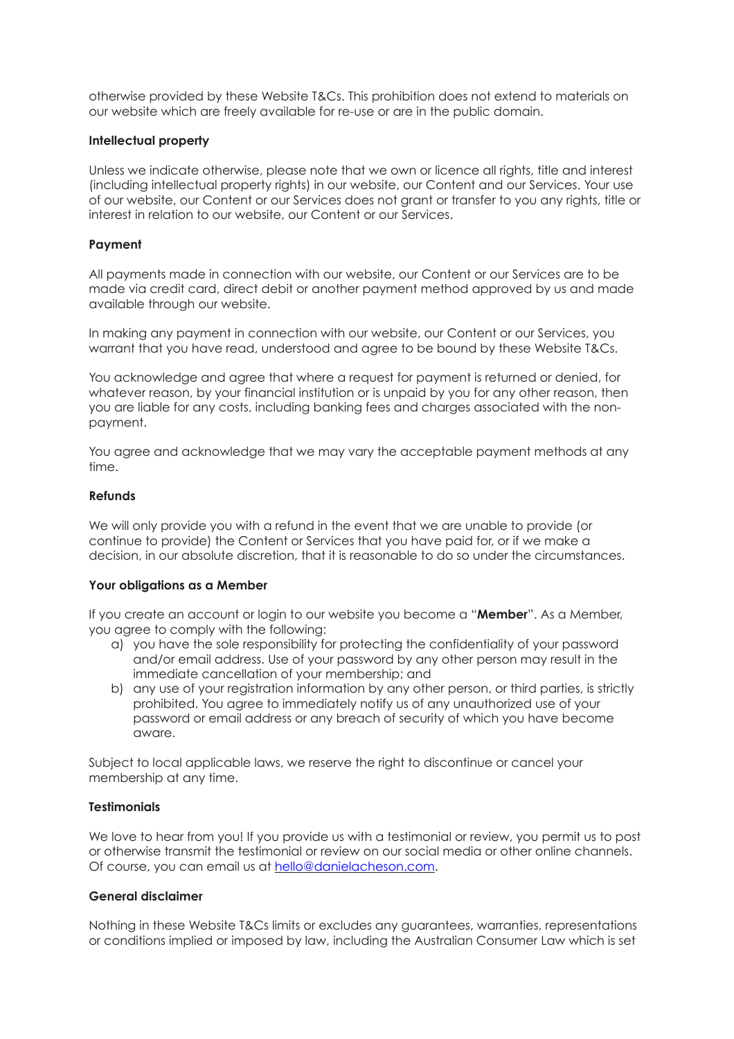otherwise provided by these Website T&Cs. This prohibition does not extend to materials on our website which are freely available for re-use or are in the public domain.

#### **Intellectual property**

Unless we indicate otherwise, please note that we own or licence all rights, title and interest (including intellectual property rights) in our website, our Content and our Services. Your use of our website, our Content or our Services does not grant or transfer to you any rights, title or interest in relation to our website, our Content or our Services.

# **Payment**

All payments made in connection with our website, our Content or our Services are to be made via credit card, direct debit or another payment method approved by us and made available through our website.

In making any payment in connection with our website, our Content or our Services, you warrant that you have read, understood and agree to be bound by these Website T&Cs.

You acknowledge and agree that where a request for payment is returned or denied, for whatever reason, by your financial institution or is unpaid by you for any other reason, then you are liable for any costs, including banking fees and charges associated with the nonpayment.

You agree and acknowledge that we may vary the acceptable payment methods at any time.

#### **Refunds**

We will only provide you with a refund in the event that we are unable to provide (or continue to provide) the Content or Services that you have paid for, or if we make a decision, in our absolute discretion, that it is reasonable to do so under the circumstances.

#### **Your obligations as a Member**

If you create an account or login to our website you become a "**Member**". As a Member, you agree to comply with the following:

- a) you have the sole responsibility for protecting the confidentiality of your password and/or email address. Use of your password by any other person may result in the immediate cancellation of your membership; and
- b) any use of your registration information by any other person, or third parties, is strictly prohibited. You agree to immediately notify us of any unauthorized use of your password or email address or any breach of security of which you have become aware.

Subject to local applicable laws, we reserve the right to discontinue or cancel your membership at any time.

# **Testimonials**

We love to hear from you! If you provide us with a testimonial or review, you permit us to post or otherwise transmit the testimonial or review on our social media or other online channels. Of course, you can email us at [hello@danielacheson.com](mailto:hello@danielacheson.com).

# **General disclaimer**

Nothing in these Website T&Cs limits or excludes any guarantees, warranties, representations or conditions implied or imposed by law, including the Australian Consumer Law which is set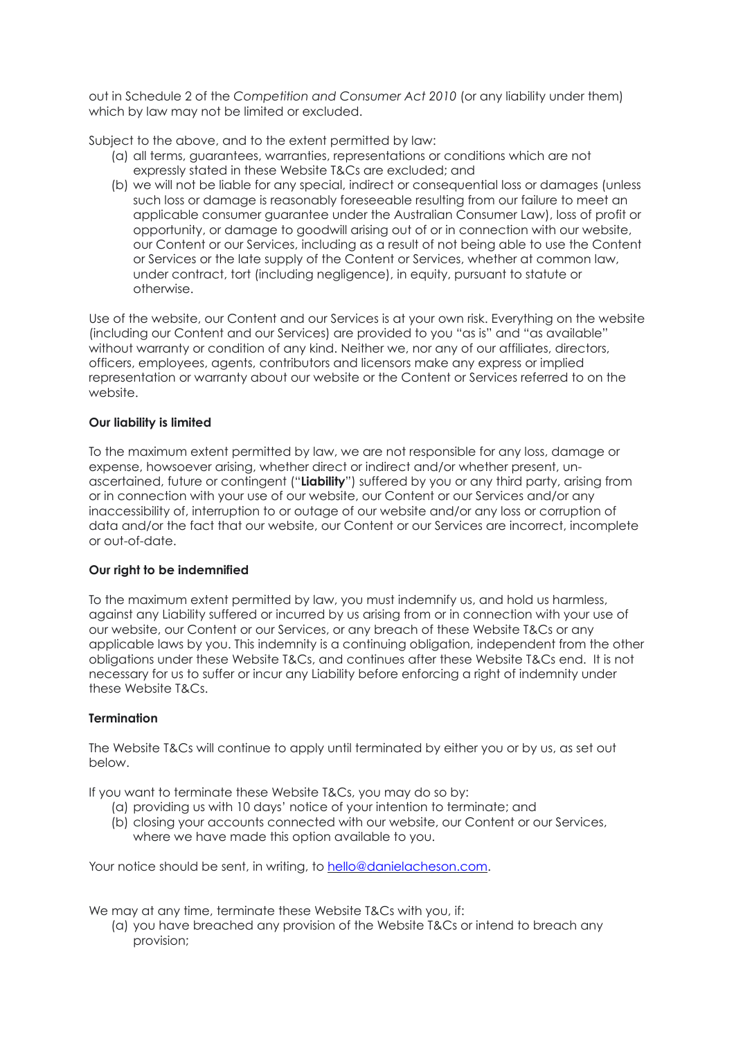out in Schedule 2 of the *Competition and Consumer Act 2010* (or any liability under them) which by law may not be limited or excluded.

Subject to the above, and to the extent permitted by law:

- (a) all terms, guarantees, warranties, representations or conditions which are not expressly stated in these Website T&Cs are excluded; and
- (b) we will not be liable for any special, indirect or consequential loss or damages (unless such loss or damage is reasonably foreseeable resulting from our failure to meet an applicable consumer guarantee under the Australian Consumer Law), loss of profit or opportunity, or damage to goodwill arising out of or in connection with our website, our Content or our Services, including as a result of not being able to use the Content or Services or the late supply of the Content or Services, whether at common law, under contract, tort (including negligence), in equity, pursuant to statute or otherwise.

Use of the website, our Content and our Services is at your own risk. Everything on the website (including our Content and our Services) are provided to you "as is" and "as available" without warranty or condition of any kind. Neither we, nor any of our affiliates, directors, officers, employees, agents, contributors and licensors make any express or implied representation or warranty about our website or the Content or Services referred to on the website.

# **Our liability is limited**

To the maximum extent permitted by law, we are not responsible for any loss, damage or expense, howsoever arising, whether direct or indirect and/or whether present, unascertained, future or contingent ("**Liability**") suffered by you or any third party, arising from or in connection with your use of our website, our Content or our Services and/or any inaccessibility of, interruption to or outage of our website and/or any loss or corruption of data and/or the fact that our website, our Content or our Services are incorrect, incomplete or out-of-date.

# **Our right to be indemnified**

To the maximum extent permitted by law, you must indemnify us, and hold us harmless, against any Liability suffered or incurred by us arising from or in connection with your use of our website, our Content or our Services, or any breach of these Website T&Cs or any applicable laws by you. This indemnity is a continuing obligation, independent from the other obligations under these Website T&Cs, and continues after these Website T&Cs end. It is not necessary for us to suffer or incur any Liability before enforcing a right of indemnity under these Website T&Cs.

# **Termination**

The Website T&Cs will continue to apply until terminated by either you or by us, as set out below.

If you want to terminate these Website T&Cs, you may do so by:

- (a) providing us with 10 days' notice of your intention to terminate; and
- (b) closing your accounts connected with our website, our Content or our Services, where we have made this option available to you.

Your notice should be sent, in writing, to [hello@danielacheson.com](mailto:hello@danielacheson.com).

We may at any time, terminate these Website T&Cs with you, if:

(a) you have breached any provision of the Website T&Cs or intend to breach any provision;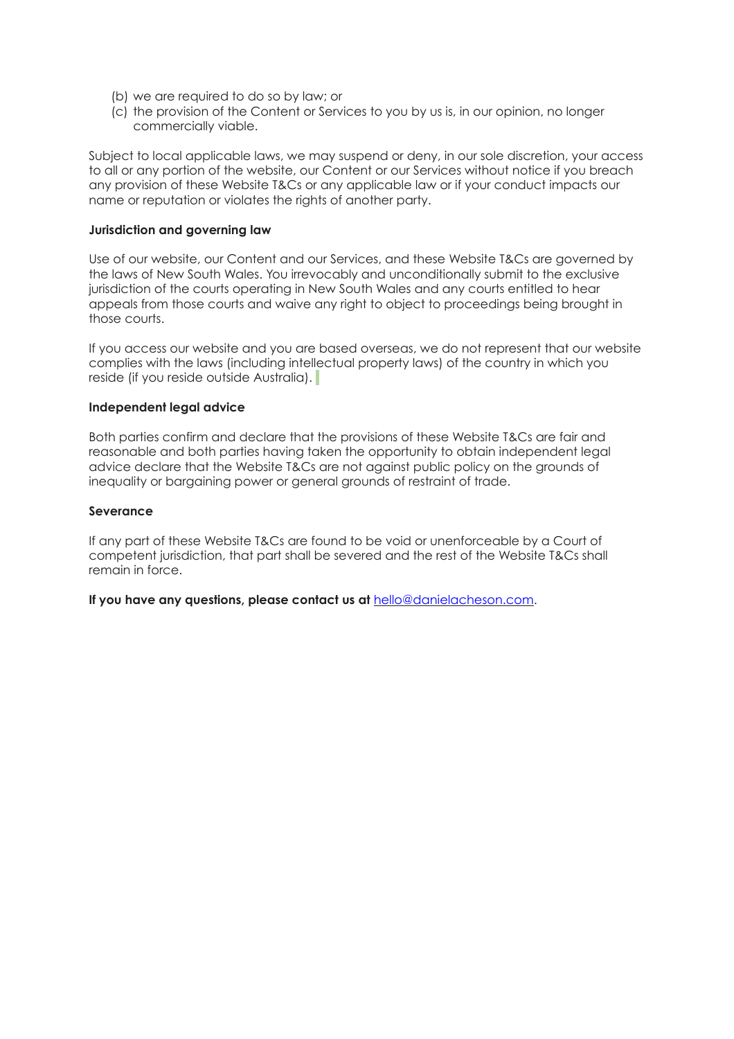- (b) we are required to do so by law; or
- (c) the provision of the Content or Services to you by us is, in our opinion, no longer commercially viable.

Subject to local applicable laws, we may suspend or deny, in our sole discretion, your access to all or any portion of the website, our Content or our Services without notice if you breach any provision of these Website T&Cs or any applicable law or if your conduct impacts our name or reputation or violates the rights of another party.

#### **Jurisdiction and governing law**

Use of our website, our Content and our Services, and these Website T&Cs are governed by the laws of New South Wales. You irrevocably and unconditionally submit to the exclusive jurisdiction of the courts operating in New South Wales and any courts entitled to hear appeals from those courts and waive any right to object to proceedings being brought in those courts.

If you access our website and you are based overseas, we do not represent that our website complies with the laws (including intellectual property laws) of the country in which you reside (if you reside outside Australia).

#### **Independent legal advice**

Both parties confirm and declare that the provisions of these Website T&Cs are fair and reasonable and both parties having taken the opportunity to obtain independent legal advice declare that the Website T&Cs are not against public policy on the grounds of inequality or bargaining power or general grounds of restraint of trade.

# **Severance**

If any part of these Website T&Cs are found to be void or unenforceable by a Court of competent jurisdiction, that part shall be severed and the rest of the Website T&Cs shall remain in force.

**If you have any questions, please contact us at** [hello@danielacheson.com.](mailto:hello@danielacheson.com)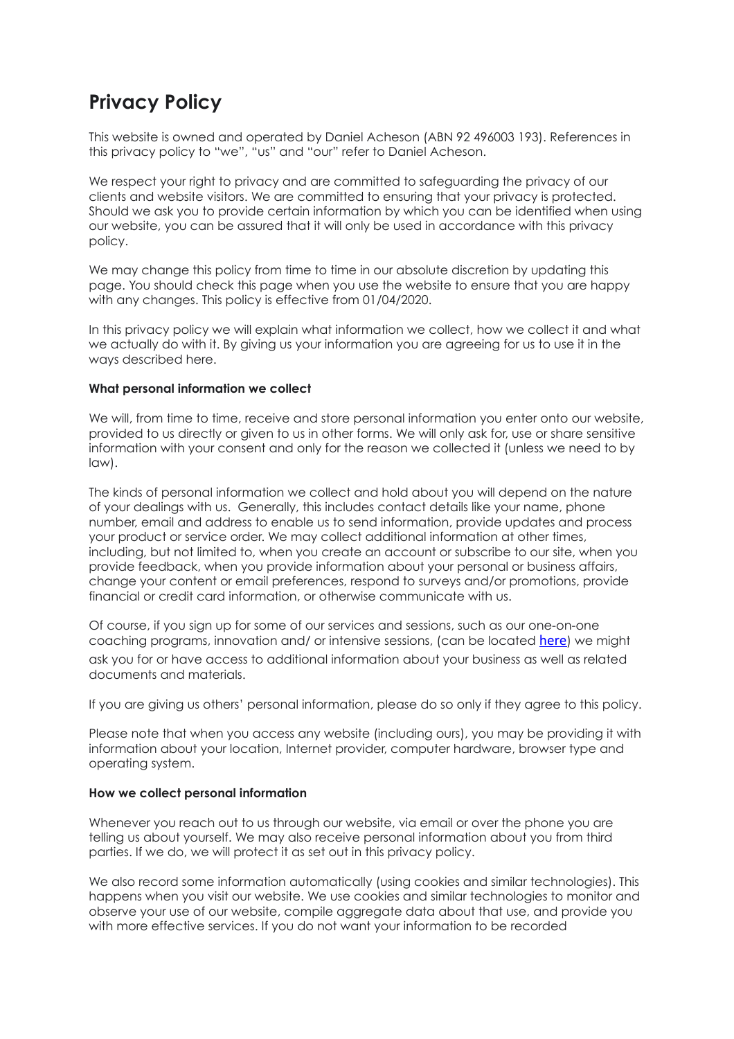# **Privacy Policy**

This website is owned and operated by Daniel Acheson (ABN 92 496003 193). References in this privacy policy to "we", "us" and "our" refer to Daniel Acheson.

We respect your right to privacy and are committed to safeguarding the privacy of our clients and website visitors. We are committed to ensuring that your privacy is protected. Should we ask you to provide certain information by which you can be identified when using our website, you can be assured that it will only be used in accordance with this privacy policy.

We may change this policy from time to time in our absolute discretion by updating this page. You should check this page when you use the website to ensure that you are happy with any changes. This policy is effective from 01/04/2020.

In this privacy policy we will explain what information we collect, how we collect it and what we actually do with it. By giving us your information you are agreeing for us to use it in the ways described here.

# **What personal information we collect**

We will, from time to time, receive and store personal information you enter onto our website, provided to us directly or given to us in other forms. We will only ask for, use or share sensitive information with your consent and only for the reason we collected it (unless we need to by law).

The kinds of personal information we collect and hold about you will depend on the nature of your dealings with us. Generally, this includes contact details like your name, phone number, email and address to enable us to send information, provide updates and process your product or service order. We may collect additional information at other times, including, but not limited to, when you create an account or subscribe to our site, when you provide feedback, when you provide information about your personal or business affairs, change your content or email preferences, respond to surveys and/or promotions, provide financial or credit card information, or otherwise communicate with us.

Of course, if you sign up for some of our services and sessions, such as our one-on-one coaching programs, innovation and/ or intensive sessions, (can be located here) we might ask you for or have access to additional information about your business as well as related documents and materials.

If you are giving us others' personal information, please do so only if they agree to this policy.

Please note that when you access any website (including ours), you may be providing it with information about your location, Internet provider, computer hardware, browser type and operating system.

# **How we collect personal information**

Whenever you reach out to us through our website, via email or over the phone you are telling us about yourself. We may also receive personal information about you from third parties. If we do, we will protect it as set out in this privacy policy.

We also record some information automatically (using cookies and similar technologies). This happens when you visit our website. We use cookies and similar technologies to monitor and observe your use of our website, compile aggregate data about that use, and provide you with more effective services. If you do not want your information to be recorded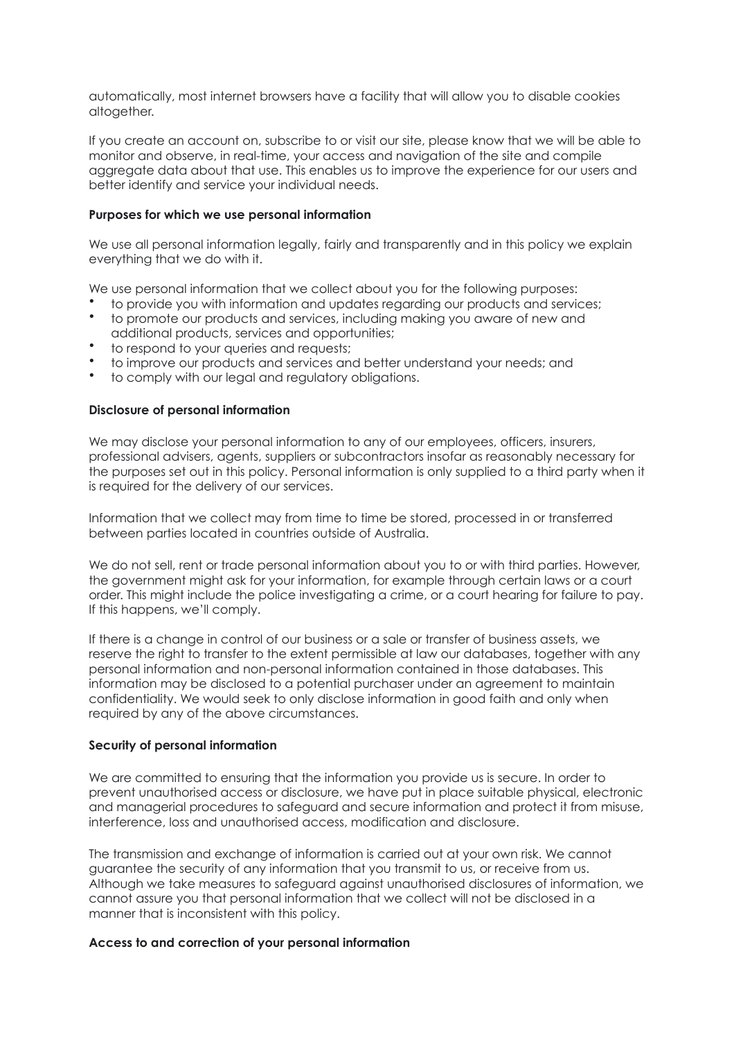automatically, most internet browsers have a facility that will allow you to disable cookies altogether.

If you create an account on, subscribe to or visit our site, please know that we will be able to monitor and observe, in real-time, your access and navigation of the site and compile aggregate data about that use. This enables us to improve the experience for our users and better identify and service your individual needs.

# **Purposes for which we use personal information**

We use all personal information legally, fairly and transparently and in this policy we explain everything that we do with it.

We use personal information that we collect about you for the following purposes:

- to provide you with information and updates regarding our products and services;
- to promote our products and services, including making you aware of new and additional products, services and opportunities;
- to respond to your queries and requests;
- to improve our products and services and better understand your needs; and
- to comply with our legal and regulatory obligations.

# **Disclosure of personal information**

We may disclose your personal information to any of our employees, officers, insurers, professional advisers, agents, suppliers or subcontractors insofar as reasonably necessary for the purposes set out in this policy. Personal information is only supplied to a third party when it is required for the delivery of our services.

Information that we collect may from time to time be stored, processed in or transferred between parties located in countries outside of Australia.

We do not sell, rent or trade personal information about you to or with third parties. However, the government might ask for your information, for example through certain laws or a court order. This might include the police investigating a crime, or a court hearing for failure to pay. If this happens, we'll comply.

If there is a change in control of our business or a sale or transfer of business assets, we reserve the right to transfer to the extent permissible at law our databases, together with any personal information and non-personal information contained in those databases. This information may be disclosed to a potential purchaser under an agreement to maintain confidentiality. We would seek to only disclose information in good faith and only when required by any of the above circumstances.

#### **Security of personal information**

We are committed to ensuring that the information you provide us is secure. In order to prevent unauthorised access or disclosure, we have put in place suitable physical, electronic and managerial procedures to safeguard and secure information and protect it from misuse, interference, loss and unauthorised access, modification and disclosure.

The transmission and exchange of information is carried out at your own risk. We cannot guarantee the security of any information that you transmit to us, or receive from us. Although we take measures to safeguard against unauthorised disclosures of information, we cannot assure you that personal information that we collect will not be disclosed in a manner that is inconsistent with this policy.

#### **Access to and correction of your personal information**